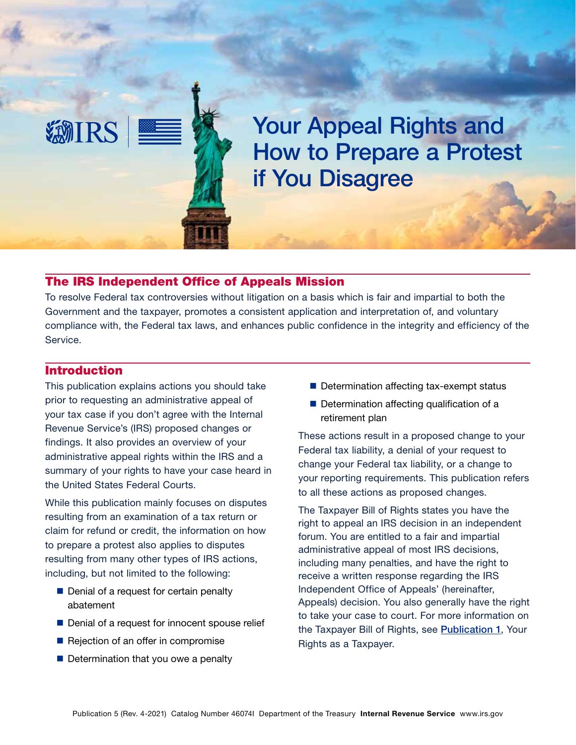

# The IRS Independent Office of Appeals Mission

To resolve Federal tax controversies without litigation on a basis which is fair and impartial to both the Government and the taxpayer, promotes a consistent application and interpretation of, and voluntary compliance with, the Federal tax laws, and enhances public confidence in the integrity and efficiency of the Service.

### Introduction

**EMIRS** 

This publication explains actions you should take prior to requesting an administrative appeal of your tax case if you don't agree with the Internal Revenue Service's (IRS) proposed changes or findings. It also provides an overview of your administrative appeal rights within the IRS and a summary of your rights to have your case heard in the United States Federal Courts.

While this publication mainly focuses on disputes resulting from an examination of a tax return or claim for refund or credit, the information on how to prepare a protest also applies to disputes resulting from many other types of IRS actions, including, but not limited to the following:

- Denial of a request for certain penalty abatement
- Denial of a request for innocent spouse relief
- Rejection of an offer in compromise
- $\blacksquare$  Determination that you owe a penalty
- Determination affecting tax-exempt status
- Determination affecting qualification of a retirement plan

These actions result in a proposed change to your Federal tax liability, a denial of your request to change your Federal tax liability, or a change to your reporting requirements. This publication refers to all these actions as proposed changes.

The Taxpayer Bill of Rights states you have the right to appeal an IRS decision in an independent forum. You are entitled to a fair and impartial administrative appeal of most IRS decisions, including many penalties, and have the right to receive a written response regarding the IRS Independent Office of Appeals' (hereinafter, Appeals) decision. You also generally have the right to take your case to court. For more information on the Taxpayer Bill of Rights, see [Publication 1](https://www.irs.gov/pub/irs-pdf/p1.pdf), Your Rights as a Taxpayer.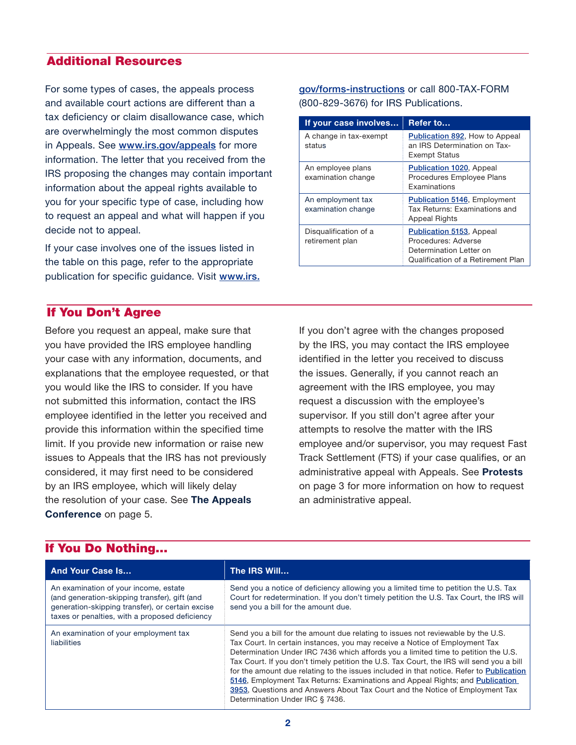# Additional Resources

For some types of cases, the appeals process and available court actions are different than a tax deficiency or claim disallowance case, which are overwhelmingly the most common disputes in Appeals. See [www.irs.gov/appeals](https://www.irs.gov/appeals) for more information. The letter that you received from the IRS proposing the changes may contain important information about the appeal rights available to you for your specific type of case, including how to request an appeal and what will happen if you decide not to appeal.

If your case involves one of the issues listed in the table on this page, refer to the appropriate publication for specific guidance. Visit [www.irs.](www.irs.gov/forms-instructions)

# [gov/forms-instructions](www.irs.gov/forms-instructions) or call 800-TAX-FORM (800-829-3676) for IRS Publications.

| If your case involves                    | Refer to                                                                                                                |
|------------------------------------------|-------------------------------------------------------------------------------------------------------------------------|
| A change in tax-exempt<br>status         | Publication 892, How to Appeal<br>an IRS Determination on Tax-<br><b>Exempt Status</b>                                  |
| An employee plans<br>examination change  | <b>Publication 1020, Appeal</b><br>Procedures Employee Plans<br><b>Examinations</b>                                     |
| An employment tax<br>examination change  | <b>Publication 5146, Employment</b><br>Tax Returns: Examinations and<br><b>Appeal Rights</b>                            |
| Disqualification of a<br>retirement plan | <b>Publication 5153, Appeal</b><br>Procedures: Adverse<br>Determination Letter on<br>Qualification of a Retirement Plan |

# If You Don't Agree

Before you request an appeal, make sure that you have provided the IRS employee handling your case with any information, documents, and explanations that the employee requested, or that you would like the IRS to consider. If you have not submitted this information, contact the IRS employee identified in the letter you received and provide this information within the specified time limit. If you provide new information or raise new issues to Appeals that the IRS has not previously considered, it may first need to be considered by an IRS employee, which will likely delay the resolution of your case. See The Appeals Conference on page 5.

# by the IRS, you may contact the IRS employee identified in the letter you received to discuss the issues. Generally, if you cannot reach an agreement with the IRS employee, you may request a discussion with the employee's supervisor. If you still don't agree after your attempts to resolve the matter with the IRS employee and/or supervisor, you may request Fast Track Settlement (FTS) if your case qualifies, or an administrative appeal with Appeals. See Protests on page 3 for more information on how to request an administrative appeal.

If you don't agree with the changes proposed

| <b>And Your Case Is</b>                                                                                                                                                                      | The IRS Will                                                                                                                                                                                                                                                                                                                                                                                                                                                                                                                                                                                                                                     |  |
|----------------------------------------------------------------------------------------------------------------------------------------------------------------------------------------------|--------------------------------------------------------------------------------------------------------------------------------------------------------------------------------------------------------------------------------------------------------------------------------------------------------------------------------------------------------------------------------------------------------------------------------------------------------------------------------------------------------------------------------------------------------------------------------------------------------------------------------------------------|--|
| An examination of your income, estate<br>(and generation-skipping transfer), gift (and<br>generation-skipping transfer), or certain excise<br>taxes or penalties, with a proposed deficiency | Send you a notice of deficiency allowing you a limited time to petition the U.S. Tax<br>Court for redetermination. If you don't timely petition the U.S. Tax Court, the IRS will<br>send you a bill for the amount due.                                                                                                                                                                                                                                                                                                                                                                                                                          |  |
| An examination of your employment tax<br>liabilities                                                                                                                                         | Send you a bill for the amount due relating to issues not reviewable by the U.S.<br>Tax Court. In certain instances, you may receive a Notice of Employment Tax<br>Determination Under IRC 7436 which affords you a limited time to petition the U.S.<br>Tax Court. If you don't timely petition the U.S. Tax Court, the IRS will send you a bill<br>for the amount due relating to the issues included in that notice. Refer to Publication<br>5146, Employment Tax Returns: Examinations and Appeal Rights; and Publication<br>3953, Questions and Answers About Tax Court and the Notice of Employment Tax<br>Determination Under IRC § 7436. |  |

# If You Do Nothing…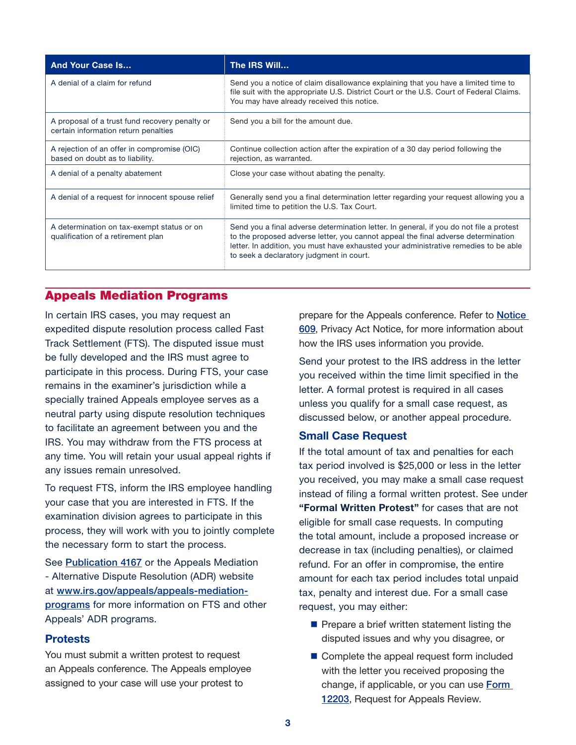| <b>And Your Case Is</b>                                                                | The IRS Will                                                                                                                                                                                                                                                                                                     |
|----------------------------------------------------------------------------------------|------------------------------------------------------------------------------------------------------------------------------------------------------------------------------------------------------------------------------------------------------------------------------------------------------------------|
| A denial of a claim for refund                                                         | Send you a notice of claim disallowance explaining that you have a limited time to<br>file suit with the appropriate U.S. District Court or the U.S. Court of Federal Claims.<br>You may have already received this notice.                                                                                      |
| A proposal of a trust fund recovery penalty or<br>certain information return penalties | Send you a bill for the amount due.                                                                                                                                                                                                                                                                              |
| A rejection of an offer in compromise (OIC)<br>based on doubt as to liability.         | Continue collection action after the expiration of a 30 day period following the<br>rejection, as warranted.                                                                                                                                                                                                     |
| A denial of a penalty abatement                                                        | Close your case without abating the penalty.                                                                                                                                                                                                                                                                     |
| A denial of a request for innocent spouse relief                                       | Generally send you a final determination letter regarding your request allowing you a<br>limited time to petition the U.S. Tax Court.                                                                                                                                                                            |
| A determination on tax-exempt status or on<br>qualification of a retirement plan       | Send you a final adverse determination letter. In general, if you do not file a protest<br>to the proposed adverse letter, you cannot appeal the final adverse determination<br>letter. In addition, you must have exhausted your administrative remedies to be able<br>to seek a declaratory judgment in court. |

# Appeals Mediation Programs

In certain IRS cases, you may request an expedited dispute resolution process called Fast Track Settlement (FTS). The disputed issue must be fully developed and the IRS must agree to participate in this process. During FTS, your case remains in the examiner's jurisdiction while a specially trained Appeals employee serves as a neutral party using dispute resolution techniques to facilitate an agreement between you and the IRS. You may withdraw from the FTS process at any time. You will retain your usual appeal rights if any issues remain unresolved.

To request FTS, inform the IRS employee handling your case that you are interested in FTS. If the examination division agrees to participate in this process, they will work with you to jointly complete the necessary form to start the process.

See [Publication 4167](https://www.irs.gov/pub/irs-pdf/p4167.pdf) or the Appeals Mediation - Alternative Dispute Resolution (ADR) website at [www.irs.gov/appeals/appeals-mediation](https://www.irs.gov/appeals/appeals-mediation-programs)[programs](https://www.irs.gov/appeals/appeals-mediation-programs) for more information on FTS and other Appeals' ADR programs.

#### **Protests**

You must submit a written protest to request an Appeals conference. The Appeals employee assigned to your case will use your protest to

prepare for the Appeals conference. Refer to **Notice** [609](https://www.irs.gov/pub/irs-pdf/n609.pdf), Privacy Act Notice, for more information about how the IRS uses information you provide.

Send your protest to the IRS address in the letter you received within the time limit specified in the letter. A formal protest is required in all cases unless you qualify for a small case request, as discussed below, or another appeal procedure.

#### Small Case Request

If the total amount of tax and penalties for each tax period involved is \$25,000 or less in the letter you received, you may make a small case request instead of filing a formal written protest. See under "Formal Written Protest" for cases that are not eligible for small case requests. In computing the total amount, include a proposed increase or decrease in tax (including penalties), or claimed refund. For an offer in compromise, the entire amount for each tax period includes total unpaid tax, penalty and interest due. For a small case request, you may either:

- $\blacksquare$  Prepare a brief written statement listing the disputed issues and why you disagree, or
- Complete the appeal request form included with the letter you received proposing the change, if applicable, or you can use **Form** [12203](https://www.irs.gov/pub/irs-pdf/f12203.pdf), Request for Appeals Review.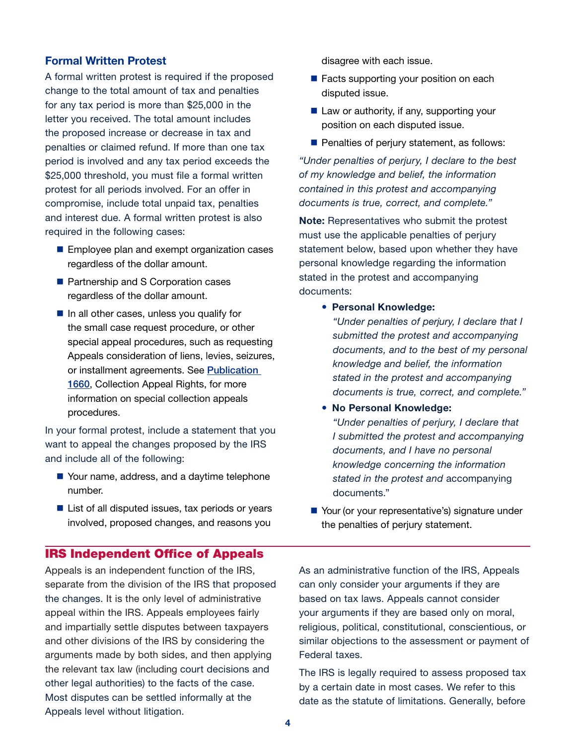#### Formal Written Protest

A formal written protest is required if the proposed change to the total amount of tax and penalties for any tax period is more than \$25,000 in the letter you received. The total amount includes the proposed increase or decrease in tax and penalties or claimed refund. If more than one tax period is involved and any tax period exceeds the \$25,000 threshold, you must file a formal written protest for all periods involved. For an offer in compromise, include total unpaid tax, penalties and interest due. A formal written protest is also required in the following cases:

- **Employee plan and exempt organization cases** regardless of the dollar amount.
- **Partnership and S Corporation cases** regardless of the dollar amount.
- $\blacksquare$  In all other cases, unless you qualify for the small case request procedure, or other special appeal procedures, such as requesting Appeals consideration of liens, levies, seizures, or installment agreements. See [Publication](https://www.irs.gov/pub/irs-pdf/p1660.pdf)  [1660](https://www.irs.gov/pub/irs-pdf/p1660.pdf), Collection Appeal Rights, for more information on special collection appeals procedures.

In your formal protest, include a statement that you want to appeal the changes proposed by the IRS and include all of the following:

- Your name, address, and a daytime telephone number.
- $\blacksquare$  List of all disputed issues, tax periods or years involved, proposed changes, and reasons you

### IRS Independent Office of Appeals

Appeals is an independent function of the IRS, separate from the division of the IRS that proposed the changes. It is the only level of administrative appeal within the IRS. Appeals employees fairly and impartially settle disputes between taxpayers and other divisions of the IRS by considering the arguments made by both sides, and then applying the relevant tax law (including court decisions and other legal authorities) to the facts of the case. Most disputes can be settled informally at the Appeals level without litigation.

disagree with each issue.

- **Facts supporting your position on each** disputed issue.
- $\blacksquare$  Law or authority, if any, supporting your position on each disputed issue.
- $\blacksquare$  Penalties of perjury statement, as follows:

*"Under penalties of perjury, I declare to the best of my knowledge and belief, the information contained in this protest and accompanying documents is true, correct, and complete."*

Note: Representatives who submit the protest must use the applicable penalties of perjury statement below, based upon whether they have personal knowledge regarding the information stated in the protest and accompanying documents:

• Personal Knowledge:

*"Under penalties of perjury, I declare that I submitted the protest and accompanying documents, and to the best of my personal knowledge and belief, the information stated in the protest and accompanying documents is true, correct, and complete."*

• No Personal Knowledge:

*"Under penalties of perjury, I declare that I submitted the protest and accompanying documents, and I have no personal knowledge concerning the information stated in the protest and* accompanying documents."

■ Your (or your representative's) signature under the penalties of perjury statement.

As an administrative function of the IRS, Appeals can only consider your arguments if they are based on tax laws. Appeals cannot consider your arguments if they are based only on moral, religious, political, constitutional, conscientious, or similar objections to the assessment or payment of Federal taxes.

The IRS is legally required to assess proposed tax by a certain date in most cases. We refer to this date as the statute of limitations. Generally, before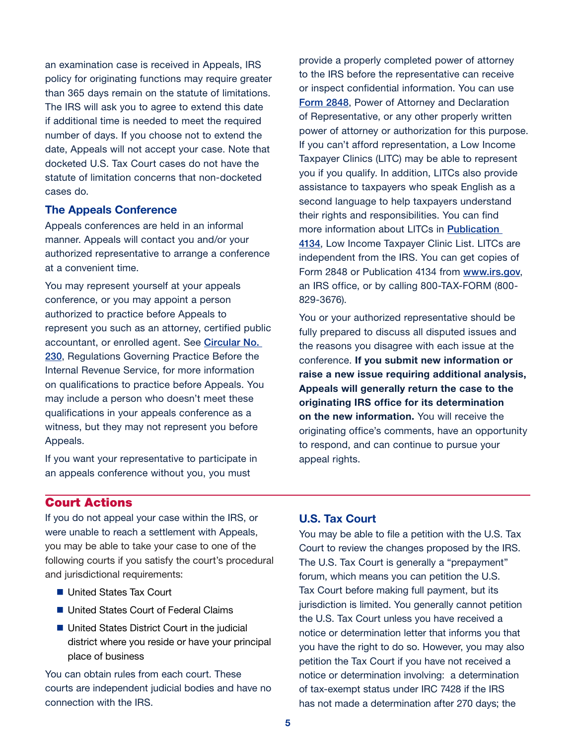an examination case is received in Appeals, IRS policy for originating functions may require greater than 365 days remain on the statute of limitations. The IRS will ask you to agree to extend this date if additional time is needed to meet the required number of days. If you choose not to extend the date, Appeals will not accept your case. Note that docketed U.S. Tax Court cases do not have the statute of limitation concerns that non-docketed cases do.

#### The Appeals Conference

Appeals conferences are held in an informal manner. Appeals will contact you and/or your authorized representative to arrange a conference at a convenient time.

You may represent yourself at your appeals conference, or you may appoint a person authorized to practice before Appeals to represent you such as an attorney, certified public accountant, or enrolled agent. See [Circular No.](https://www.irs.gov/pub/irs-pdf/pcir230.pdf)  [230](https://www.irs.gov/pub/irs-pdf/pcir230.pdf), Regulations Governing Practice Before the Internal Revenue Service, for more information on qualifications to practice before Appeals. You may include a person who doesn't meet these qualifications in your appeals conference as a witness, but they may not represent you before Appeals.

If you want your representative to participate in an appeals conference without you, you must

provide a properly completed power of attorney to the IRS before the representative can receive or inspect confidential information. You can use [Form 2848](https://www.irs.gov/pub/irs-pdf/f2848.pdf), Power of Attorney and Declaration of Representative, or any other properly written power of attorney or authorization for this purpose. If you can't afford representation, a Low Income Taxpayer Clinics (LITC) may be able to represent you if you qualify. In addition, LITCs also provide assistance to taxpayers who speak English as a second language to help taxpayers understand their rights and responsibilities. You can find more information about LITCs in [Publication](https://www.irs.gov/pub/irs-pdf/p4134.pdf)  [4134](https://www.irs.gov/pub/irs-pdf/p4134.pdf), Low Income Taxpayer Clinic List. LITCs are independent from the IRS. You can get copies of Form 2848 or Publication 4134 from [www.irs.gov](https://www.irs.gov/), an IRS office, or by calling 800-TAX-FORM (800- 829-3676).

You or your authorized representative should be fully prepared to discuss all disputed issues and the reasons you disagree with each issue at the conference. If you submit new information or raise a new issue requiring additional analysis, Appeals will generally return the case to the originating IRS office for its determination on the new information. You will receive the originating office's comments, have an opportunity to respond, and can continue to pursue your appeal rights.

## Court Actions

If you do not appeal your case within the IRS, or were unable to reach a settlement with Appeals, you may be able to take your case to one of the following courts if you satisfy the court's procedural and jurisdictional requirements:

- United States Tax Court
- United States Court of Federal Claims
- United States District Court in the judicial district where you reside or have your principal place of business

You can obtain rules from each court. These courts are independent judicial bodies and have no connection with the IRS.

## U.S. Tax Court

You may be able to file a petition with the U.S. Tax Court to review the changes proposed by the IRS. The U.S. Tax Court is generally a "prepayment" forum, which means you can petition the U.S. Tax Court before making full payment, but its jurisdiction is limited. You generally cannot petition the U.S. Tax Court unless you have received a notice or determination letter that informs you that you have the right to do so. However, you may also petition the Tax Court if you have not received a notice or determination involving: a determination of tax-exempt status under IRC 7428 if the IRS has not made a determination after 270 days; the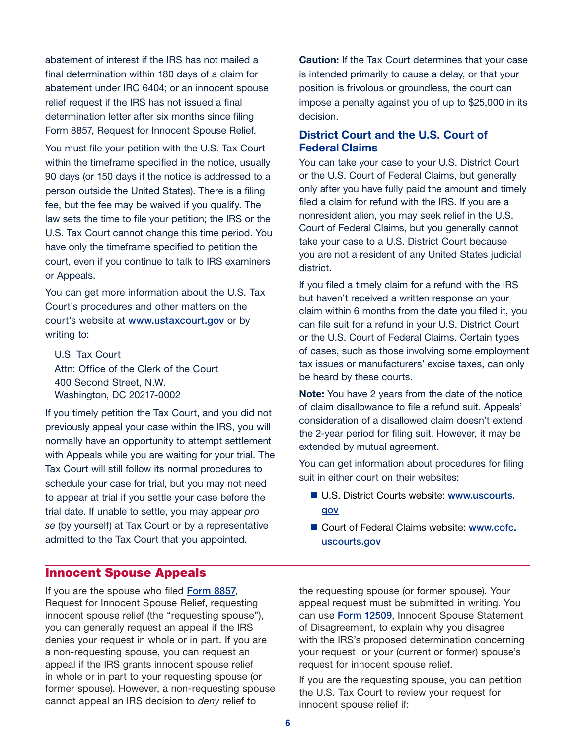abatement of interest if the IRS has not mailed a final determination within 180 days of a claim for abatement under IRC 6404; or an innocent spouse relief request if the IRS has not issued a final determination letter after six months since filing Form 8857, Request for Innocent Spouse Relief.

You must file your petition with the U.S. Tax Court within the timeframe specified in the notice, usually 90 days (or 150 days if the notice is addressed to a person outside the United States). There is a filing fee, but the fee may be waived if you qualify. The law sets the time to file your petition; the IRS or the U.S. Tax Court cannot change this time period. You have only the timeframe specified to petition the court, even if you continue to talk to IRS examiners or Appeals.

You can get more information about the U.S. Tax Court's procedures and other matters on the court's website at **[www.ustaxcourt.gov](https://www.ustaxcourt.gov/)** or by writing to:

U.S. Tax Court Attn: Office of the Clerk of the Court 400 Second Street, N.W. Washington, DC 20217-0002

If you timely petition the Tax Court, and you did not previously appeal your case within the IRS, you will normally have an opportunity to attempt settlement with Appeals while you are waiting for your trial. The Tax Court will still follow its normal procedures to schedule your case for trial, but you may not need to appear at trial if you settle your case before the trial date. If unable to settle, you may appear *pro se* (by yourself) at Tax Court or by a representative admitted to the Tax Court that you appointed.

**Caution:** If the Tax Court determines that your case is intended primarily to cause a delay, or that your position is frivolous or groundless, the court can impose a penalty against you of up to \$25,000 in its decision.

## District Court and the U.S. Court of Federal Claims

You can take your case to your U.S. District Court or the U.S. Court of Federal Claims, but generally only after you have fully paid the amount and timely filed a claim for refund with the IRS. If you are a nonresident alien, you may seek relief in the U.S. Court of Federal Claims, but you generally cannot take your case to a U.S. District Court because you are not a resident of any United States judicial district.

If you filed a timely claim for a refund with the IRS but haven't received a written response on your claim within 6 months from the date you filed it, you can file suit for a refund in your U.S. District Court or the U.S. Court of Federal Claims. Certain types of cases, such as those involving some employment tax issues or manufacturers' excise taxes, can only be heard by these courts.

Note: You have 2 years from the date of the notice of claim disallowance to file a refund suit. Appeals' consideration of a disallowed claim doesn't extend the 2-year period for filing suit. However, it may be extended by mutual agreement.

You can get information about procedures for filing suit in either court on their websites:

- U.S. District Courts website: [www.uscourts.](http://www.uscourts.gov/) [gov](http://www.uscourts.gov/)
- Court of Federal Claims website: [www.cofc.](http://www.cofc.uscourts.gov/) [uscourts.gov](http://www.cofc.uscourts.gov/)

### Innocent Spouse Appeals

If you are the spouse who filed [Form 8857](https://www.irs.gov/pub/irs-pdf/f8857.pdf), Request for Innocent Spouse Relief, requesting innocent spouse relief (the "requesting spouse"), you can generally request an appeal if the IRS denies your request in whole or in part. If you are a non-requesting spouse, you can request an appeal if the IRS grants innocent spouse relief in whole or in part to your requesting spouse (or former spouse). However, a non-requesting spouse cannot appeal an IRS decision to *deny* relief to

the requesting spouse (or former spouse). Your appeal request must be submitted in writing. You can use [Form 12509](http://core.publish.no.irs.gov/forms/public/pdf/f12509--2018-05-00.pdf), Innocent Spouse Statement of Disagreement, to explain why you disagree with the IRS's proposed determination concerning your request or your (current or former) spouse's request for innocent spouse relief.

If you are the requesting spouse, you can petition the U.S. Tax Court to review your request for innocent spouse relief if: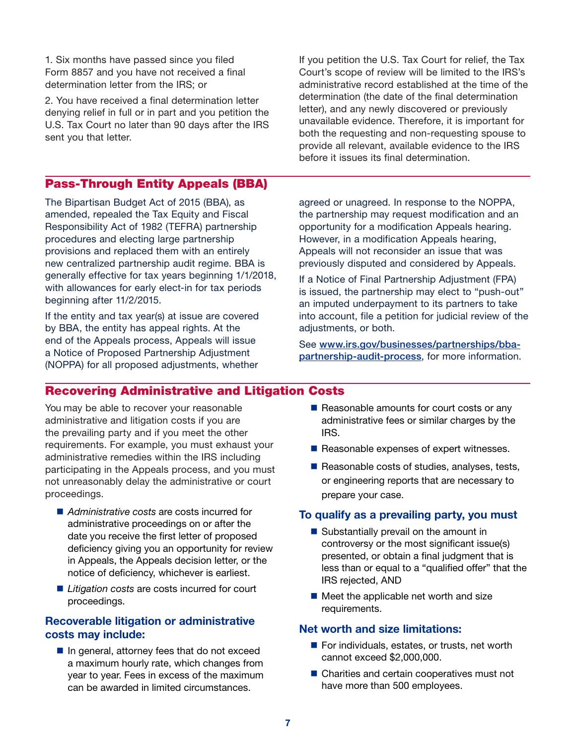1. Six months have passed since you filed Form 8857 and you have not received a final determination letter from the IRS; or

2. You have received a final determination letter denying relief in full or in part and you petition the U.S. Tax Court no later than 90 days after the IRS sent you that letter.

Pass-Through Entity Appeals (BBA)

The Bipartisan Budget Act of 2015 (BBA), as amended, repealed the Tax Equity and Fiscal Responsibility Act of 1982 (TEFRA) partnership procedures and electing large partnership provisions and replaced them with an entirely new centralized partnership audit regime. BBA is generally effective for tax years beginning 1/1/2018, with allowances for early elect-in for tax periods beginning after 11/2/2015.

If the entity and tax year(s) at issue are covered by BBA, the entity has appeal rights. At the end of the Appeals process, Appeals will issue a Notice of Proposed Partnership Adjustment (NOPPA) for all proposed adjustments, whether

If you petition the U.S. Tax Court for relief, the Tax Court's scope of review will be limited to the IRS's administrative record established at the time of the determination (the date of the final determination letter), and any newly discovered or previously unavailable evidence. Therefore, it is important for both the requesting and non-requesting spouse to provide all relevant, available evidence to the IRS before it issues its final determination.

agreed or unagreed. In response to the NOPPA, the partnership may request modification and an opportunity for a modification Appeals hearing. However, in a modification Appeals hearing, Appeals will not reconsider an issue that was previously disputed and considered by Appeals.

If a Notice of Final Partnership Adjustment (FPA) is issued, the partnership may elect to "push-out" an imputed underpayment to its partners to take into account, file a petition for judicial review of the adiustments, or both.

See [www.irs.gov/businesses/partnerships/bba](https://www.irs.gov/businesses/partnerships/bba-partnership-audit-process)[partnership-audit-process](https://www.irs.gov/businesses/partnerships/bba-partnership-audit-process), for more information.

# Recovering Administrative and Litigation Costs

You may be able to recover your reasonable administrative and litigation costs if you are the prevailing party and if you meet the other requirements. For example, you must exhaust your administrative remedies within the IRS including participating in the Appeals process, and you must not unreasonably delay the administrative or court proceedings.

- *Administrative costs* are costs incurred for administrative proceedings on or after the date you receive the first letter of proposed deficiency giving you an opportunity for review in Appeals, the Appeals decision letter, or the notice of deficiency, whichever is earliest.
- Litigation costs are costs incurred for court proceedings.

## Recoverable litigation or administrative costs may include:

 $\blacksquare$  In general, attorney fees that do not exceed a maximum hourly rate, which changes from year to year. Fees in excess of the maximum can be awarded in limited circumstances.

- $\blacksquare$  Reasonable amounts for court costs or any administrative fees or similar charges by the IRS.
- $\blacksquare$  Reasonable expenses of expert witnesses.
- $\blacksquare$  Reasonable costs of studies, analyses, tests, or engineering reports that are necessary to prepare your case.

#### To qualify as a prevailing party, you must

- Substantially prevail on the amount in controversy or the most significant issue(s) presented, or obtain a final judgment that is less than or equal to a "qualified offer" that the IRS rejected, AND
- Meet the applicable net worth and size requirements.

#### Net worth and size limitations:

- $\blacksquare$  For individuals, estates, or trusts, net worth cannot exceed \$2,000,000.
- Charities and certain cooperatives must not have more than 500 employees.